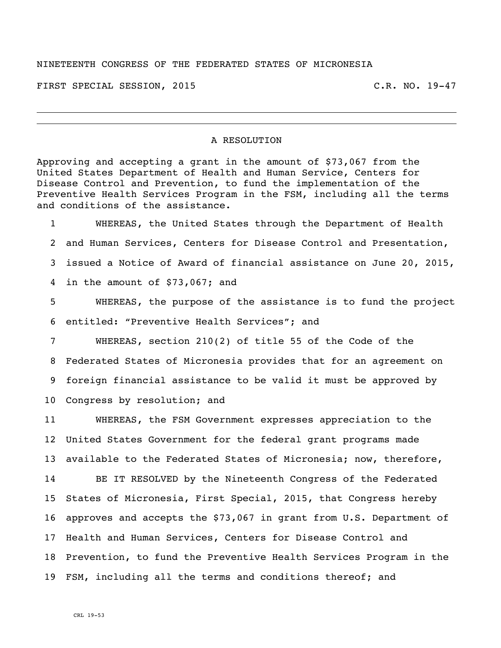## NINETEENTH CONGRESS OF THE FEDERATED STATES OF MICRONESIA

FIRST SPECIAL SESSION, 2015 C.R. NO. 19-47

## A RESOLUTION

Approving and accepting a grant in the amount of \$73,067 from the United States Department of Health and Human Service, Centers for Disease Control and Prevention, to fund the implementation of the Preventive Health Services Program in the FSM, including all the terms and conditions of the assistance.

 WHEREAS, the United States through the Department of Health and Human Services, Centers for Disease Control and Presentation, issued a Notice of Award of financial assistance on June 20, 2015, in the amount of \$73,067; and

 WHEREAS, the purpose of the assistance is to fund the project entitled: "Preventive Health Services"; and

 WHEREAS, section 210(2) of title 55 of the Code of the Federated States of Micronesia provides that for an agreement on foreign financial assistance to be valid it must be approved by Congress by resolution; and

 WHEREAS, the FSM Government expresses appreciation to the United States Government for the federal grant programs made available to the Federated States of Micronesia; now, therefore, BE IT RESOLVED by the Nineteenth Congress of the Federated States of Micronesia, First Special, 2015, that Congress hereby approves and accepts the \$73,067 in grant from U.S. Department of Health and Human Services, Centers for Disease Control and Prevention, to fund the Preventive Health Services Program in the FSM, including all the terms and conditions thereof; and